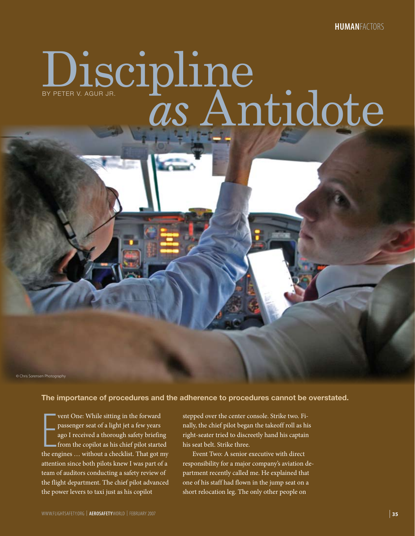# Discipline BY PETER V. Agur JR. **Antidote**

© Chris Sorensen Photography

## **The importance of procedures and the adherence to procedures cannot be overstated.**

vent One: While sitting in the forward<br>passenger seat of a light jet a few years<br>ago I received a thorough safety briefing<br>from the copilot as his chief pilot started<br>the engines ... without a checklist. That got my vent One: While sitting in the forward passenger seat of a light jet a few years ago I received a thorough safety briefing from the copilot as his chief pilot started attention since both pilots knew I was part of a team of auditors conducting a safety review of the flight department. The chief pilot advanced the power levers to taxi just as his copilot

stepped over the center console. Strike two. Finally, the chief pilot began the takeoff roll as his right-seater tried to discreetly hand his captain his seat belt. Strike three.

Event Two: A senior executive with direct responsibility for a major company's aviation department recently called me. He explained that one of his staff had flown in the jump seat on a short relocation leg. The only other people on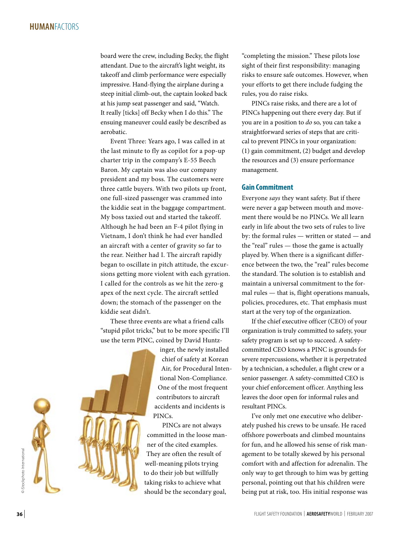# **Human**Factors

board were the crew, including Becky, the flight attendant. Due to the aircraft's light weight, its takeoff and climb performance were especially impressive. Hand-flying the airplane during a steep initial climb-out, the captain looked back at his jump seat passenger and said, "Watch. It really [ticks] off Becky when I do this." The ensuing maneuver could easily be described as aerobatic.

Event Three: Years ago, I was called in at the last minute to fly as copilot for a pop-up charter trip in the company's E-55 Beech Baron. My captain was also our company president and my boss. The customers were three cattle buyers. With two pilots up front, one full-sized passenger was crammed into the kiddie seat in the baggage compartment. My boss taxied out and started the takeoff. Although he had been an F-4 pilot flying in Vietnam, I don't think he had ever handled an aircraft with a center of gravity so far to the rear. Neither had I. The aircraft rapidly began to oscillate in pitch attitude, the excursions getting more violent with each gyration. I called for the controls as we hit the zero-g apex of the next cycle. The aircraft settled down; the stomach of the passenger on the kiddie seat didn't.

These three events are what a friend calls "stupid pilot tricks," but to be more specific I'll use the term PINC, coined by David Huntz-

> inger, the newly installed chief of safety at Korean Air, for Procedural Intentional Non-Compliance. One of the most frequent contributors to aircraft accidents and incidents is PINCs.

PINCs are not always committed in the loose manner of the cited examples. They are often the result of well-meaning pilots trying to do their job but willfully taking risks to achieve what should be the secondary goal,

"completing the mission." These pilots lose sight of their first responsibility: managing risks to ensure safe outcomes. However, when your efforts to get there include fudging the rules, you do raise risks.

PINCs raise risks, and there are a lot of PINCs happening out there every day. But if you are in a position to *do* so, you can take a straightforward series of steps that are critical to prevent PINCs in your organization: (1) gain commitment, (2) budget and develop the resources and (3) ensure performance management.

### **Gain Commitment**

Everyone *says* they want safety. But if there were never a gap between mouth and movement there would be no PINCs. We all learn early in life about the two sets of rules to live by: the formal rules — written or stated — and the "real" rules — those the game is actually played by. When there is a significant difference between the two, the "real" rules become the standard. The solution is to establish and maintain a universal commitment to the formal rules — that is, flight operations manuals, policies, procedures, etc. That emphasis must start at the very top of the organization.

If the chief executive officer (CEO) of your organization is truly committed to safety, your safety program is set up to succeed. A safetycommitted CEO knows a PINC is grounds for severe repercussions, whether it is perpetrated by a technician, a scheduler, a flight crew or a senior passenger. A safety-committed CEO is your chief enforcement officer. Anything less leaves the door open for informal rules and resultant PINCs.

I've only met one executive who deliberately pushed his crews to be unsafe. He raced offshore powerboats and climbed mountains for fun, and he allowed his sense of risk management to be totally skewed by his personal comfort with and affection for adrenalin. The only way to get through to him was by getting personal, pointing out that his children were being put at risk, too. His initial response was

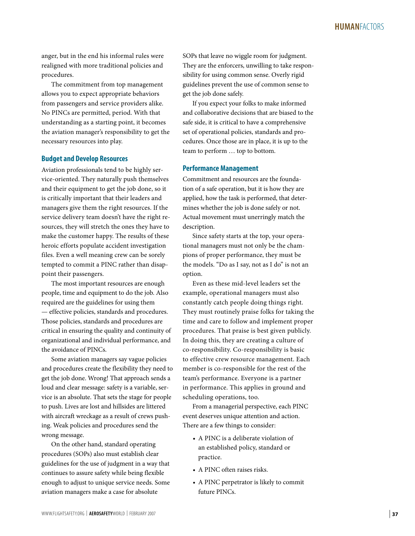anger, but in the end his informal rules were realigned with more traditional policies and procedures.

The commitment from top management allows you to expect appropriate behaviors from passengers and service providers alike. No PINCs are permitted, period. With that understanding as a starting point, it becomes the aviation manager's responsibility to get the necessary resources into play.

### **Budget and Develop Resources**

Aviation professionals tend to be highly service-oriented. They naturally push themselves and their equipment to get the job done, so it is critically important that their leaders and managers give them the right resources. If the service delivery team doesn't have the right resources, they will stretch the ones they have to make the customer happy. The results of these heroic efforts populate accident investigation files. Even a well meaning crew can be sorely tempted to commit a PINC rather than disappoint their passengers.

The most important resources are enough people, time and equipment to do the job. Also required are the guidelines for using them — effective policies, standards and procedures. Those policies, standards and procedures are critical in ensuring the quality and continuity of organizational and individual performance, and the avoidance of PINCs.

Some aviation managers say vague policies and procedures create the flexibility they need to get the job done. Wrong! That approach sends a loud and clear message: safety is a variable, service is an absolute. That sets the stage for people to push. Lives are lost and hillsides are littered with aircraft wreckage as a result of crews pushing. Weak policies and procedures send the wrong message.

On the other hand, standard operating procedures (SOPs) also must establish clear guidelines for the use of judgment in a way that continues to assure safety while being flexible enough to adjust to unique service needs. Some aviation managers make a case for absolute

SOPs that leave no wiggle room for judgment. They are the enforcers, unwilling to take responsibility for using common sense. Overly rigid guidelines prevent the use of common sense to get the job done safely.

If you expect your folks to make informed and collaborative decisions that are biased to the safe side, it is critical to have a comprehensive set of operational policies, standards and procedures. Once those are in place, it is up to the team to perform … top to bottom.

### **Performance Management**

Commitment and resources are the foundation of a safe operation, but it is how they are applied, how the task is performed, that determines whether the job is done safely or not. Actual movement must unerringly match the description.

Since safety starts at the top, your operational managers must not only be the champions of proper performance, they must be the models. "Do as I say, not as I do" is not an option.

Even as these mid-level leaders set the example, operational managers must also constantly catch people doing things right. They must routinely praise folks for taking the time and care to follow and implement proper procedures. That praise is best given publicly. In doing this, they are creating a culture of co-responsibility. Co-responsibility is basic to effective crew resource management. Each member is co-responsible for the rest of the team's performance. Everyone is a partner in performance. This applies in ground and scheduling operations, too.

From a managerial perspective, each PINC event deserves unique attention and action. There are a few things to consider:

- A PINC is a deliberate violation of an established policy, standard or practice.
- A PINC often raises risks.
- A PINC perpetrator is likely to commit future PINCs.